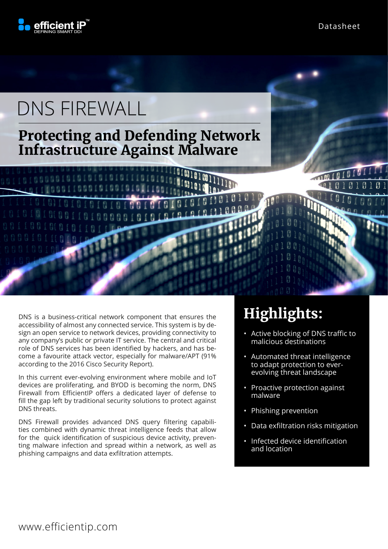

# DNS FIREWALL

### **Protecting and Defending Network Infrastructure Against Malware**

DNS is a business-critical network component that ensures the accessibility of almost any connected service. This system is by design an open service to network devices, providing connectivity to any company's public or private IT service. The central and critical role of DNS services has been identified by hackers, and has become a favourite attack vector, especially for malware/APT (91% according to the 2016 Cisco Security Report).

In this current ever-evolving environment where mobile and IoT devices are proliferating, and BYOD is becoming the norm, DNS Firewall from EfficientIP offers a dedicated layer of defense to fill the gap left by traditional security solutions to protect against DNS threats.

DNS Firewall provides advanced DNS query filtering capabilities combined with dynamic threat intelligence feeds that allow for the quick identification of suspicious device activity, preventing malware infection and spread within a network, as well as phishing campaigns and data exfiltration attempts.

## **Highlights:**

- Active blocking of DNS traffic to malicious destinations
- Automated threat intelligence to adapt protection to everevolving threat landscape
- Proactive protection against malware
- Phishing prevention
- Data exfiltration risks mitigation
- Infected device identification and location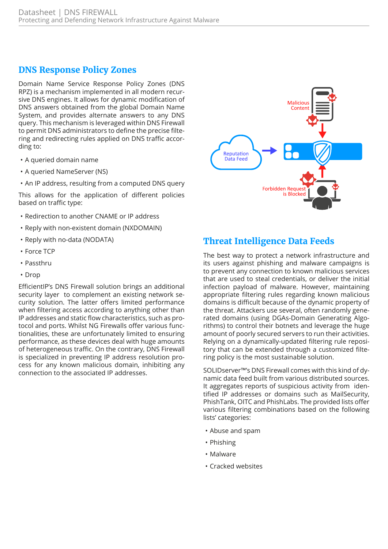#### **DNS Response Policy Zones**

Domain Name Service Response Policy Zones (DNS RPZ) is a mechanism implemented in all modern recursive DNS engines. It allows for dynamic modification of DNS answers obtained from the global Domain Name System, and provides alternate answers to any DNS query. This mechanism is leveraged within DNS Firewall to permit DNS administrators to define the precise filtering and redirecting rules applied on DNS traffic according to:

- A queried domain name
- A queried NameServer (NS)
- An IP address, resulting from a computed DNS query

This allows for the application of different policies based on traffic type:

- Redirection to another CNAME or IP address
- Reply with non-existent domain (NXDOMAIN)
- Reply with no-data (NODATA)
- Force TCP
- Passthru
- Drop

EfficientIP's DNS Firewall solution brings an additional security layer to complement an existing network security solution. The latter offers limited performance when filtering access according to anything other than IP addresses and static flow characteristics, such as protocol and ports. Whilst NG Firewalls offer various functionalities, these are unfortunately limited to ensuring performance, as these devices deal with huge amounts of heterogeneous traffic. On the contrary, DNS Firewall is specialized in preventing IP address resolution process for any known malicious domain, inhibiting any connection to the associated IP addresses.



#### **Threat Intelligence Data Feeds**

The best way to protect a network infrastructure and its users against phishing and malware campaigns is to prevent any connection to known malicious services that are used to steal credentials, or deliver the initial infection payload of malware. However, maintaining appropriate filtering rules regarding known malicious domains is difficult because of the dynamic property of the threat. Attackers use several, often randomly generated domains (using DGAs-Domain Generating Algorithms) to control their botnets and leverage the huge amount of poorly secured servers to run their activities. Relying on a dynamically-updated filtering rule repository that can be extended through a customized filtering policy is the most sustainable solution.

SOLIDserver™'s DNS Firewall comes with this kind of dynamic data feed built from various distributed sources. It aggregates reports of suspicious activity from identified IP addresses or domains such as MailSecurity, PhishTank, OITC and PhishLabs. The provided lists offer various filtering combinations based on the following lists' categories:

- Abuse and spam
- Phishing
- Malware
- Cracked websites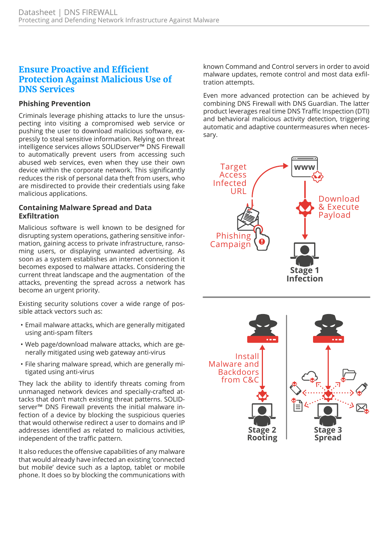#### **Ensure Proactive and Efficient Protection Against Malicious Use of DNS Services**

#### **Phishing Prevention**

Criminals leverage phishing attacks to lure the unsuspecting into visiting a compromised web service or pushing the user to download malicious software, expressly to steal sensitive information. Relying on threat intelligence services allows SOLIDserver™ DNS Firewall to automatically prevent users from accessing such abused web services, even when they use their own device within the corporate network. This significantly reduces the risk of personal data theft from users, who are misdirected to provide their credentials using fake malicious applications.

#### **Containing Malware Spread and Data Exfiltration**

Malicious software is well known to be designed for disrupting system operations, gathering sensitive information, gaining access to private infrastructure, ransoming users, or displaying unwanted advertising. As soon as a system establishes an internet connection it becomes exposed to malware attacks. Considering the current threat landscape and the augmentation of the attacks, preventing the spread across a network has become an urgent priority.

Existing security solutions cover a wide range of possible attack vectors such as:

- Email malware attacks, which are generally mitigated using anti-spam filters
- Web page/download malware attacks, which are generally mitigated using web gateway anti-virus
- File sharing malware spread, which are generally mitigated using anti-virus

They lack the ability to identify threats coming from unmanaged network devices and specially-crafted attacks that don't match existing threat patterns. SOLIDserver™ DNS Firewall prevents the initial malware infection of a device by blocking the suspicious queries that would otherwise redirect a user to domains and IP addresses identified as related to malicious activities, independent of the traffic pattern.

It also reduces the offensive capabilities of any malware that would already have infected an existing 'connected but mobile' device such as a laptop, tablet or mobile phone. It does so by blocking the communications with known Command and Control servers in order to avoid malware updates, remote control and most data exfiltration attempts.

Even more advanced protection can be achieved by combining DNS Firewall with DNS Guardian. The latter product leverages real time DNS Traffic Inspection (DTI) and behavioral malicious activity detection, triggering automatic and adaptive countermeasures when necessary.